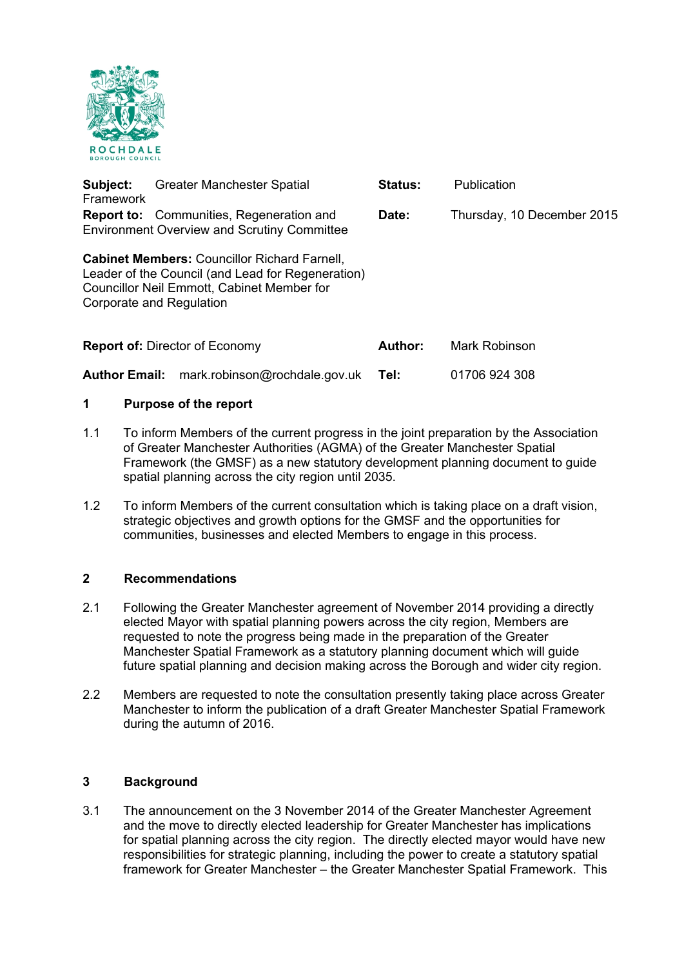

| Subject:<br>Framework                                                                                          |  | <b>Greater Manchester Spatial</b>                                                                                                                      | <b>Status:</b> | Publication                |
|----------------------------------------------------------------------------------------------------------------|--|--------------------------------------------------------------------------------------------------------------------------------------------------------|----------------|----------------------------|
| <b>Report to:</b> Communities, Regeneration and<br>Date:<br><b>Environment Overview and Scrutiny Committee</b> |  |                                                                                                                                                        |                | Thursday, 10 December 2015 |
| Corporate and Regulation                                                                                       |  | <b>Cabinet Members: Councillor Richard Farnell,</b><br>Leader of the Council (and Lead for Regeneration)<br>Councillor Neil Emmott, Cabinet Member for |                |                            |
| <b>Report of: Director of Economy</b>                                                                          |  |                                                                                                                                                        | <b>Author:</b> | Mark Robinson              |
| <b>Author Email:</b>                                                                                           |  | mark.robinson@rochdale.gov.uk                                                                                                                          | Tel:           | 01706 924 308              |

### **1 Purpose of the report**

- 1.1 To inform Members of the current progress in the joint preparation by the Association of Greater Manchester Authorities (AGMA) of the Greater Manchester Spatial Framework (the GMSF) as a new statutory development planning document to guide spatial planning across the city region until 2035.
- 1.2 To inform Members of the current consultation which is taking place on a draft vision, strategic objectives and growth options for the GMSF and the opportunities for communities, businesses and elected Members to engage in this process.

### **2 Recommendations**

- 2.1 Following the Greater Manchester agreement of November 2014 providing a directly elected Mayor with spatial planning powers across the city region, Members are requested to note the progress being made in the preparation of the Greater Manchester Spatial Framework as a statutory planning document which will guide future spatial planning and decision making across the Borough and wider city region.
- 2.2 Members are requested to note the consultation presently taking place across Greater Manchester to inform the publication of a draft Greater Manchester Spatial Framework during the autumn of 2016.

#### **3 Background**

3.1 The announcement on the 3 November 2014 of the Greater Manchester Agreement and the move to directly elected leadership for Greater Manchester has implications for spatial planning across the city region. The directly elected mayor would have new responsibilities for strategic planning, including the power to create a statutory spatial framework for Greater Manchester – the Greater Manchester Spatial Framework. This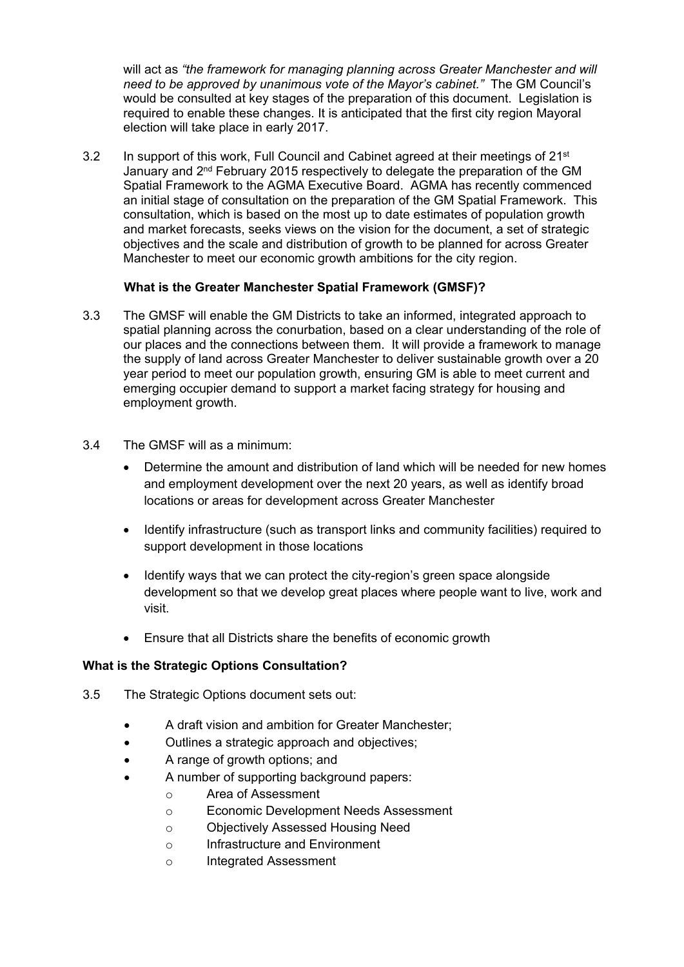will act as *"the framework for managing planning across Greater Manchester and will need to be approved by unanimous vote of the Mayor's cabinet."* The GM Council's would be consulted at key stages of the preparation of this document. Legislation is required to enable these changes. It is anticipated that the first city region Mayoral election will take place in early 2017.

3.2 In support of this work, Full Council and Cabinet agreed at their meetings of 21<sup>st</sup> January and 2<sup>nd</sup> February 2015 respectively to delegate the preparation of the GM Spatial Framework to the AGMA Executive Board. AGMA has recently commenced an initial stage of consultation on the preparation of the GM Spatial Framework. This consultation, which is based on the most up to date estimates of population growth and market forecasts, seeks views on the vision for the document, a set of strategic objectives and the scale and distribution of growth to be planned for across Greater Manchester to meet our economic growth ambitions for the city region.

# **What is the Greater Manchester Spatial Framework (GMSF)?**

- 3.3 The GMSF will enable the GM Districts to take an informed, integrated approach to spatial planning across the conurbation, based on a clear understanding of the role of our places and the connections between them. It will provide a framework to manage the supply of land across Greater Manchester to deliver sustainable growth over a 20 year period to meet our population growth, ensuring GM is able to meet current and emerging occupier demand to support a market facing strategy for housing and employment growth.
- 3.4 The GMSF will as a minimum:
	- Determine the amount and distribution of land which will be needed for new homes and employment development over the next 20 years, as well as identify broad locations or areas for development across Greater Manchester
	- Identify infrastructure (such as transport links and community facilities) required to support development in those locations
	- Identify ways that we can protect the city-region's green space alongside development so that we develop great places where people want to live, work and visit.
	- Ensure that all Districts share the benefits of economic growth

### **What is the Strategic Options Consultation?**

- 3.5 The Strategic Options document sets out:
	- A draft vision and ambition for Greater Manchester;
	- Outlines a strategic approach and objectives;
	- A range of growth options; and
	- A number of supporting background papers:
		- o Area of Assessment
		- o Economic Development Needs Assessment
		- o Objectively Assessed Housing Need
		- o Infrastructure and Environment
		- o Integrated Assessment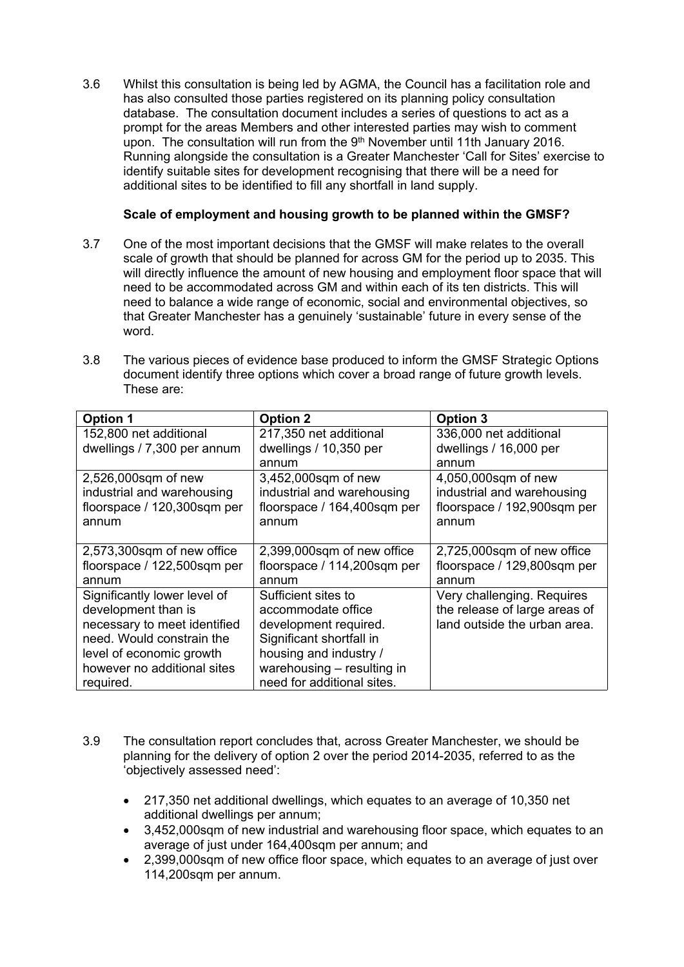3.6 Whilst this consultation is being led by AGMA, the Council has a facilitation role and has also consulted those parties registered on its planning policy consultation database. The consultation document includes a series of questions to act as a prompt for the areas Members and other interested parties may wish to comment upon. The consultation will run from the 9<sup>th</sup> November until 11th January 2016. Running alongside the consultation is a Greater Manchester 'Call for Sites' exercise to identify suitable sites for development recognising that there will be a need for additional sites to be identified to fill any shortfall in land supply.

## **Scale of employment and housing growth to be planned within the GMSF?**

- 3.7 One of the most important decisions that the GMSF will make relates to the overall scale of growth that should be planned for across GM for the period up to 2035. This will directly influence the amount of new housing and employment floor space that will need to be accommodated across GM and within each of its ten districts. This will need to balance a wide range of economic, social and environmental objectives, so that Greater Manchester has a genuinely 'sustainable' future in every sense of the word.
- 3.8 The various pieces of evidence base produced to inform the GMSF Strategic Options document identify three options which cover a broad range of future growth levels. These are:

| <b>Option 1</b>              | <b>Option 2</b>             | <b>Option 3</b>               |
|------------------------------|-----------------------------|-------------------------------|
| 152,800 net additional       | 217,350 net additional      | 336,000 net additional        |
| dwellings / 7,300 per annum  | dwellings / 10,350 per      | dwellings / 16,000 per        |
|                              | annum                       | annum                         |
| 2,526,000sqm of new          | 3,452,000sqm of new         | 4,050,000sqm of new           |
| industrial and warehousing   | industrial and warehousing  | industrial and warehousing    |
| floorspace / 120,300sqm per  | floorspace / 164,400sqm per | floorspace / 192,900sqm per   |
| annum                        | annum                       | annum                         |
|                              |                             |                               |
| 2,573,300sqm of new office   | 2,399,000sqm of new office  | 2,725,000sqm of new office    |
| floorspace / 122,500sqm per  | floorspace / 114,200sqm per | floorspace / 129,800sqm per   |
| annum                        | annum                       | annum                         |
| Significantly lower level of | Sufficient sites to         | Very challenging. Requires    |
| development than is          | accommodate office          | the release of large areas of |
| necessary to meet identified | development required.       | land outside the urban area.  |
| need. Would constrain the    | Significant shortfall in    |                               |
| level of economic growth     | housing and industry /      |                               |
| however no additional sites  | warehousing - resulting in  |                               |
| required.                    | need for additional sites.  |                               |

- 3.9 The consultation report concludes that, across Greater Manchester, we should be planning for the delivery of option 2 over the period 2014-2035, referred to as the 'objectively assessed need':
	- 217,350 net additional dwellings, which equates to an average of 10,350 net additional dwellings per annum;
	- 3,452,000sqm of new industrial and warehousing floor space, which equates to an average of just under 164,400sqm per annum; and
	- 2,399,000sqm of new office floor space, which equates to an average of just over 114,200sqm per annum.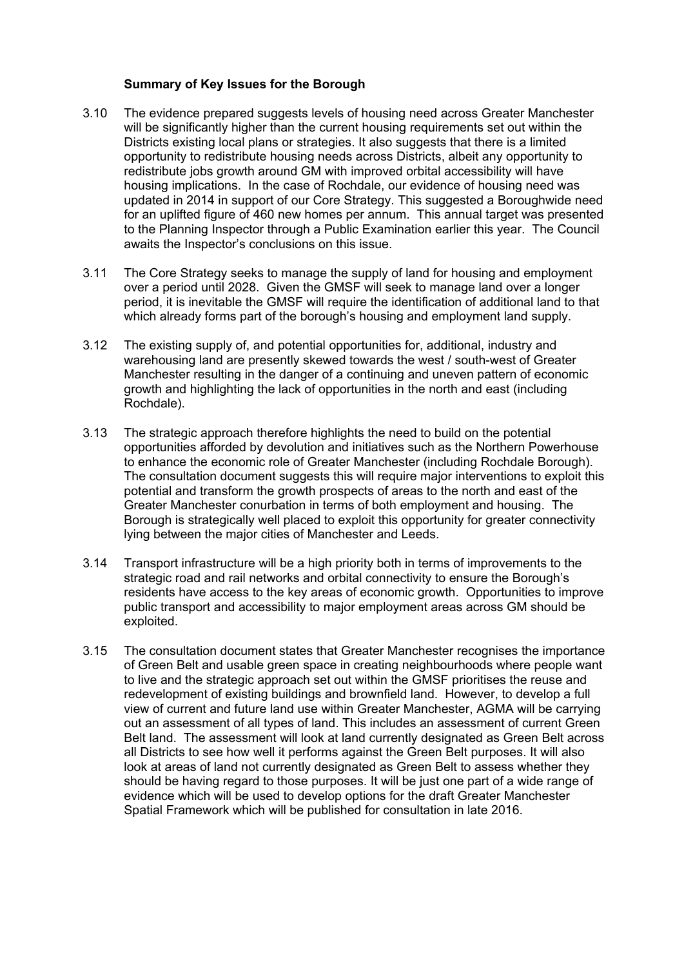### **Summary of Key Issues for the Borough**

- 3.10 The evidence prepared suggests levels of housing need across Greater Manchester will be significantly higher than the current housing requirements set out within the Districts existing local plans or strategies. It also suggests that there is a limited opportunity to redistribute housing needs across Districts, albeit any opportunity to redistribute jobs growth around GM with improved orbital accessibility will have housing implications. In the case of Rochdale, our evidence of housing need was updated in 2014 in support of our Core Strategy. This suggested a Boroughwide need for an uplifted figure of 460 new homes per annum. This annual target was presented to the Planning Inspector through a Public Examination earlier this year. The Council awaits the Inspector's conclusions on this issue.
- 3.11 The Core Strategy seeks to manage the supply of land for housing and employment over a period until 2028. Given the GMSF will seek to manage land over a longer period, it is inevitable the GMSF will require the identification of additional land to that which already forms part of the borough's housing and employment land supply.
- 3.12 The existing supply of, and potential opportunities for, additional, industry and warehousing land are presently skewed towards the west / south-west of Greater Manchester resulting in the danger of a continuing and uneven pattern of economic growth and highlighting the lack of opportunities in the north and east (including Rochdale).
- 3.13 The strategic approach therefore highlights the need to build on the potential opportunities afforded by devolution and initiatives such as the Northern Powerhouse to enhance the economic role of Greater Manchester (including Rochdale Borough). The consultation document suggests this will require major interventions to exploit this potential and transform the growth prospects of areas to the north and east of the Greater Manchester conurbation in terms of both employment and housing. The Borough is strategically well placed to exploit this opportunity for greater connectivity lying between the major cities of Manchester and Leeds.
- 3.14 Transport infrastructure will be a high priority both in terms of improvements to the strategic road and rail networks and orbital connectivity to ensure the Borough's residents have access to the key areas of economic growth. Opportunities to improve public transport and accessibility to major employment areas across GM should be exploited.
- 3.15 The consultation document states that Greater Manchester recognises the importance of Green Belt and usable green space in creating neighbourhoods where people want to live and the strategic approach set out within the GMSF prioritises the reuse and redevelopment of existing buildings and brownfield land. However, to develop a full view of current and future land use within Greater Manchester, AGMA will be carrying out an assessment of all types of land. This includes an assessment of current Green Belt land. The assessment will look at land currently designated as Green Belt across all Districts to see how well it performs against the Green Belt purposes. It will also look at areas of land not currently designated as Green Belt to assess whether they should be having regard to those purposes. It will be just one part of a wide range of evidence which will be used to develop options for the draft Greater Manchester Spatial Framework which will be published for consultation in late 2016.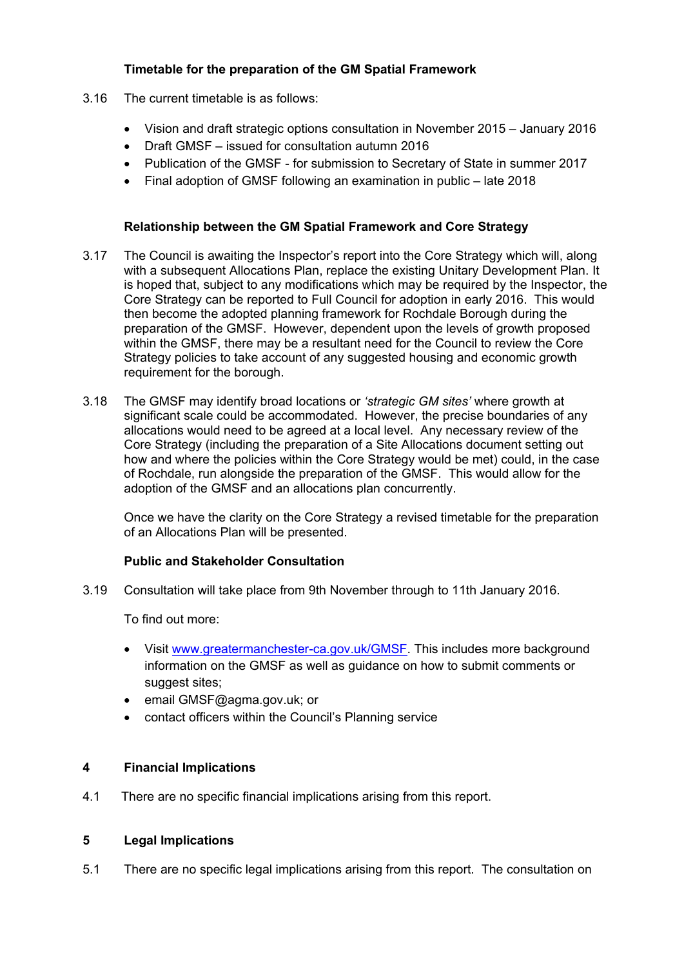# **Timetable for the preparation of the GM Spatial Framework**

- 3.16 The current timetable is as follows:
	- Vision and draft strategic options consultation in November 2015 January 2016
	- Draft GMSF issued for consultation autumn 2016
	- Publication of the GMSF for submission to Secretary of State in summer 2017
	- Final adoption of GMSF following an examination in public late 2018

### **Relationship between the GM Spatial Framework and Core Strategy**

- 3.17 The Council is awaiting the Inspector's report into the Core Strategy which will, along with a subsequent Allocations Plan, replace the existing Unitary Development Plan. It is hoped that, subject to any modifications which may be required by the Inspector, the Core Strategy can be reported to Full Council for adoption in early 2016. This would then become the adopted planning framework for Rochdale Borough during the preparation of the GMSF. However, dependent upon the levels of growth proposed within the GMSF, there may be a resultant need for the Council to review the Core Strategy policies to take account of any suggested housing and economic growth requirement for the borough.
- 3.18 The GMSF may identify broad locations or *'strategic GM sites'* where growth at significant scale could be accommodated. However, the precise boundaries of any allocations would need to be agreed at a local level. Any necessary review of the Core Strategy (including the preparation of a Site Allocations document setting out how and where the policies within the Core Strategy would be met) could, in the case of Rochdale, run alongside the preparation of the GMSF. This would allow for the adoption of the GMSF and an allocations plan concurrently.

Once we have the clarity on the Core Strategy a revised timetable for the preparation of an Allocations Plan will be presented.

### **Public and Stakeholder Consultation**

3.19 Consultation will take place from 9th November through to 11th January 2016.

To find out more:

- Visit [www.greatermanchester-ca.gov.uk/GMSF.](http://www.greatermanchester-ca.gov.uk/GMSF) This includes more background information on the GMSF as well as guidance on how to submit comments or suggest sites;
- email GMSF@agma.gov.uk; or
- contact officers within the Council's Planning service

### **4 Financial Implications**

4.1 There are no specific financial implications arising from this report.

## **5 Legal Implications**

5.1 There are no specific legal implications arising from this report. The consultation on